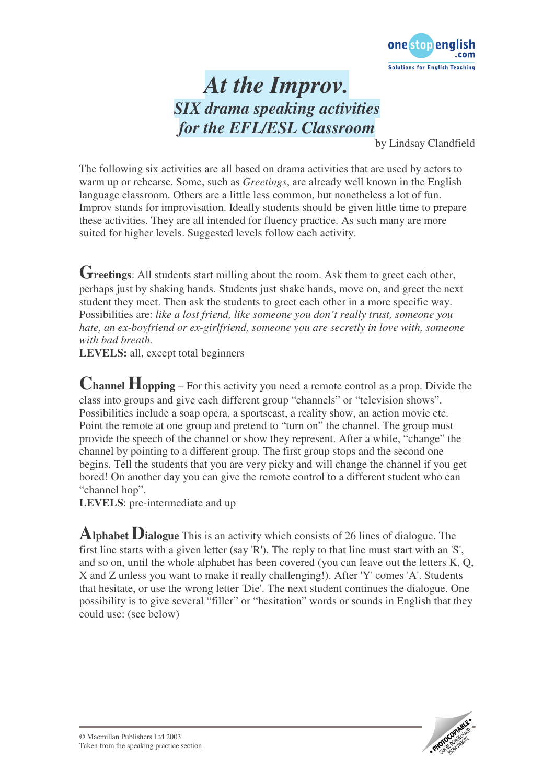

## *At the Improv. SIX drama speaking activities for the EFL/ESL Classroom*

by Lindsay Clandfield

The following six activities are all based on drama activities that are used by actors to warm up or rehearse. Some, such as *Greetings*, are already well known in the English language classroom. Others are a little less common, but nonetheless a lot of fun. Improv stands for improvisation. Ideally students should be given little time to prepare these activities. They are all intended for fluency practice. As such many are more suited for higher levels. Suggested levels follow each activity.

**Greetings**: All students start milling about the room. Ask them to greet each other, perhaps just by shaking hands. Students just shake hands, move on, and greet the next student they meet. Then ask the students to greet each other in a more specific way. Possibilities are: *like a lost friend, like someone you don't really trust, someone you hate, an ex-boyfriend or ex-girlfriend, someone you are secretly in love with, someone with bad breath.*

**LEVELS:** all, except total beginners

**Channel Hopping** – For this activity you need a remote control as a prop. Divide the class into groups and give each different group "channels" or "television shows". Possibilities include a soap opera, a sportscast, a reality show, an action movie etc. Point the remote at one group and pretend to "turn on" the channel. The group must provide the speech of the channel or show they represent. After a while, "change" the channel by pointing to a different group. The first group stops and the second one begins. Tell the students that you are very picky and will change the channel if you get bored! On another day you can give the remote control to a different student who can "channel hop".

**LEVELS**: pre-intermediate and up

**Alphabet Dialogue** This is an activity which consists of <sup>26</sup> lines of dialogue. The first line starts with a given letter (say 'R'). The reply to that line must start with an 'S', and so on, until the whole alphabet has been covered (you can leave out the letters K, Q, X and Z unless you want to make it really challenging!). After 'Y' comes 'A'. Students that hesitate, or use the wrong letter 'Die'. The next student continues the dialogue. One possibility is to give several "filler" or "hesitation" words or sounds in English that they could use: (see below)